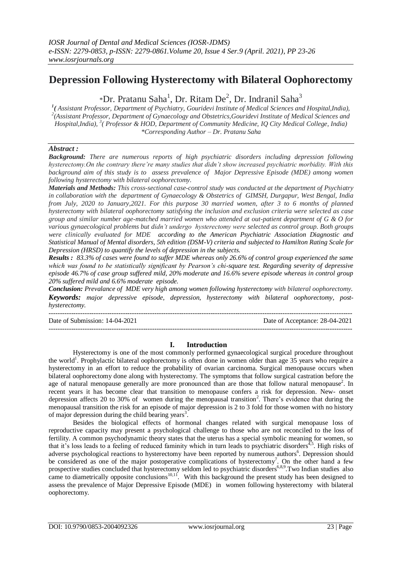# **Depression Following Hysterectomy with Bilateral Oophorectomy**

\*Dr. Pratanu Saha<sup>1</sup>, Dr. Ritam De<sup>2</sup>, Dr. Indranil Saha<sup>3</sup>

*1 ( Assistant Professor, Department of Psychiatry, Gouridevi Institute of Medical Sciences and Hospital,India), 2 (Assistant Professor, Department of Gynaecology and Obstetrics,Gouridevi Institute of Medical Sciences and Hospital,India), <sup>3</sup> ( Professor & HOD, Department of Community Medicine, IQ City Medical College, India) \*Corresponding Author – Dr. Pratanu Saha*

# *Abstract :*

*Background: There are numerous reports of high psychiatric disorders including depression following hysterectomy.On the contrary there're many studies that didn't show increased psychiatric morbidity. With this background aim of this study is to assess prevalence of Major Depressive Episode (MDE) among women following hysterectomy with bilateral oophorectomy.*

*Materials and Methods: This cross-sectional case-control study was conducted at the department of Psychiatry in collaboration with the department of Gynaecology & Obstetrics of GIMSH, Durgapur, West Bengal, India from July, 2020 to January,2021. For this purpose 30 married women, after 3 to 6 months of planned hysterectomy with bilateral oophorectomy satisfying the inclusion and exclusion criteria were selected as case group and similar number age-matched married women who attended at out-patient department of G & O for various gynaecological problems but didn't undergo hysterectomy were selected as control group. Both groups were clinically evaluated for MDE according to the American Psychiatric Association Diagnostic and Statistical Manual of Mental disorders, 5th edition (DSM-V) criteria and subjected to Hamilton Rating Scale for Depression (HRSD) to quantify the levels of depression in the subjects.* 

*Results : 83.3% of cases were found to suffer MDE whereas only 26.6% of control group experienced the same which was found to be statistically significant by Pearson's chi-square test. Regarding severity of depressive episode 46.7% of case group suffered mild, 20% moderate and 16.6% severe episode whereas in control group 20% suffered mild and 6.6% moderate episode.*

*Conclusion: Prevalance of MDE very high among women following hysterectomy with bilateral oophorectomy. Keywords: major depressive episode, depression, hysterectomy with bilateral oophorectomy, posthysterectomy.* ---------------------------------------------------------------------------------------------------------------------------------------

Date of Submission: 14-04-2021 Date of Acceptance: 28-04-2021 ---------------------------------------------------------------------------------------------------------------------------------------

# **I. Introduction**

Hysterectomy is one of the most commonly performed gynaecological surgical procedure throughout the world<sup>1</sup>. Prophylactic bilateral oophorectomy is often done in women older than age 35 years who require a hysterectomy in an effort to reduce the probability of ovarian carcinoma. Surgical menopause occurs when bilateral oophorectomy done along with hysterectomy. The symptoms that follow surgical castration before the age of natural menopause generally are more pronounced than are those that follow natural menopause<sup>2</sup>. In recent years it has become clear that transition to menopause confers a risk for depression. New- onset depression affects 20 to 30% of women during the menopausal transition<sup>2</sup>. There's evidence that during the menopausal transition the risk for an episode of major depression is 2 to 3 fold for those women with no history of major depression during the child bearing years<sup>3</sup>.

Besides the biological effects of hormonal changes related with surgical menopause loss of reproductive capacity may present a psychological challenge to those who are not reconciled to the loss of fertility. A common psychodynamic theory states that the uterus has a special symbolic meaning for women, so that it's loss leads to a feeling of reduced faminity which in turn leads to psychiatric disorders<sup> $4,5$ </sup>. High risks of adverse psychological reactions to hysterectomy have been reported by numerous authors<sup>6</sup>. Depression should be considered as one of the major postoperative complications of hysterectomy<sup>7</sup>. On the other hand a few prospective studies concluded that hysterectomy seldom led to psychiatric disorders<sup>6,8,9</sup>. Two Indian studies also came to diametrically opposite conclusions $10,11$ . With this background the present study has been designed to assess the prevalence of Major Depressive Episode (MDE) in women following hysterectomy with bilateral oophorectomy.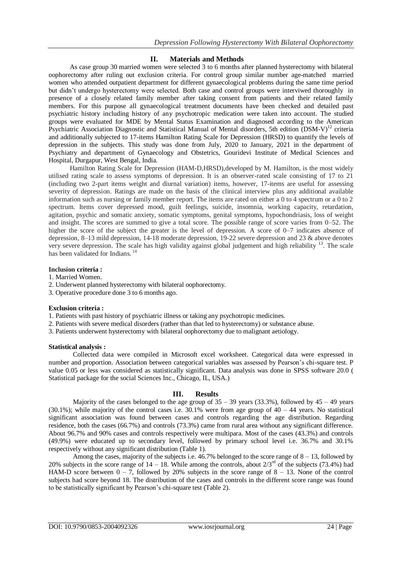# **II. Materials and Methods**

As case group 30 married women were selected 3 to 6 months after planned hysterectomy with bilateral oophorectomy after ruling out exclusion criteria. For control group similar number age-matched married women who attended outpatient department for different gynaecological problems during the same time period but didn't undergo hysterectomy were selected. Both case and control groups were interviwed thoroughly in presence of a closely related family member after taking consent from patients and their related family members. For this purpose all gynaecological treatment documents have been checked and detailed past psychiatric history including history of any psychotropic medication were taken into account. The studied groups were evaluated for MDE by Mental Status Examination and diagnosed according to the American Psychiatric Association Diagnostic and Statistical Manual of Mental disorders, 5th edition (DSM-V)<sup>12</sup> criteria and additionally subjected to 17-items Hamilton Rating Scale for Depression (HRSD) to quantify the levels of depression in the subjects. This study was done from July, 2020 to January, 2021 in the department of Psychiatry and department of Gynaecology and Obstetrics, Gouridevi Institute of Medical Sciences and Hospital, Durgapur, West Bengal, India.

Hamilton Rating Scale for Depression (HAM-D,HRSD),developed by M. Hamilton, is the most widely utilised rating scale to assess symptoms of depression. It is an observer-rated scale consisting of 17 to 21 (including two 2-part items weight and diurnal variation) items, however, 17-items are useful for assessing severity of depression. Ratings are made on the basis of the clinical interview plus any additional available information such as nursing or family member report. The items are rated on either a 0 to 4 spectrum or a 0 to 2 spectrum. Items cover depressed mood, guilt feelings, suicide, insomnia, working capacity, retardation, agitation, psychic and somatic anxiety, somatic symptoms, genital symptoms, hypochondriasis, loss of weight and insight. The scores are summed to give a total score. The possible range of score varies from 0–52. The higher the score of the subject the greater is the level of depression. A score of 0–7 indicates absence of depression, 8–13 mild depression, 14-18 moderate depression, 19-22 severe depression and 23 & above denotes very severe depression. The scale has high validity against global judgement and high reliability <sup>13</sup>. The scale has been validated for Indians.<sup>14</sup>

## **Inclusion criteria :**

- 1. Married Women.
- 2. Underwent planned hysterectomy with bilateral oophorectomy.
- 3. Operative procedure done 3 to 6 months ago.

## **Exclusion criteria :**

- 1. Patients with past history of psychiatric illness or taking any psychotropic medicines.
- 2. Patients with severe medical disorders (rather than that led to hysterectomy) or substance abuse.
- 3. Patients underwent hysterectomy with bilateral oophorectomy due to malignant aetiology.

## **Statistical analysis :**

Collected data were compiled in Microsoft excel worksheet. Categorical data were expressed in number and proportion. Association between categorical variables was assessed by Pearson's chi-square test. P value 0.05 or less was considered as statistically significant. Data analysis was done in SPSS software 20.0 ( Statistical package for the social Sciences Inc., Chicago, IL, USA.)

# **III. Results**

Majority of the cases belonged to the age group of  $35 - 39$  years (33.3%), followed by  $45 - 49$  years (30.1%); while majority of the control cases i.e.  $30.1\%$  were from age group of  $40 - 44$  years. No statistical significant association was found between cases and controls regarding the age distribution. Regarding residence, both the cases (66.7%) and controls (73.3%) came from rural area without any significant difference. About 96.7% and 90% cases and controls respectively were multipara. Most of the cases (43.3%) and controls (49.9%) were educated up to secondary level, followed by primary school level i.e. 36.7% and 30.1% respectively without any significant distribution (Table 1).

Among the cases, majority of the subjects i.e.  $46.7\%$  belonged to the score range of  $8 - 13$ , followed by 20% subjects in the score range of  $14 - 18$ . While among the controls, about  $2/3<sup>rd</sup>$  of the subjects (73.4%) had HAM-D score between  $0 - 7$ , followed by 20% subjects in the score range of  $8 - 13$ . None of the control subjects had score beyond 18. The distribution of the cases and controls in the different score range was found to be statistically significant by Pearson's chi-square test (Table 2).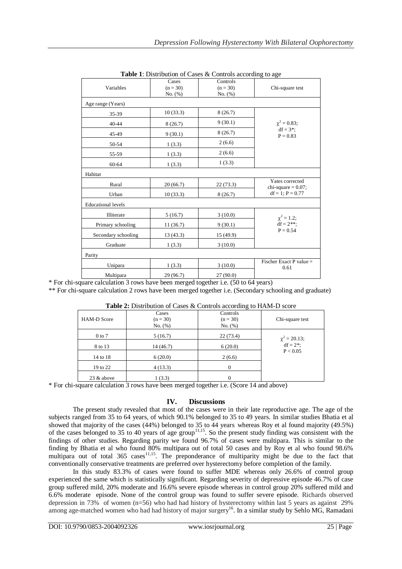| Variables                 | Cases      | Controls   |                                                |  |
|---------------------------|------------|------------|------------------------------------------------|--|
|                           | $(n = 30)$ | $(n = 30)$ | Chi-square test                                |  |
|                           | No. (%)    | No. (%)    |                                                |  |
| Age range (Years)         |            |            |                                                |  |
| 35-39                     | 10(33.3)   | 8(26.7)    | $\chi^2 = 0.83;$<br>$df = 3$ *:<br>$P = 0.83$  |  |
| 40-44                     | 8(26.7)    | 9(30.1)    |                                                |  |
| 45-49                     | 9(30.1)    | 8(26.7)    |                                                |  |
| 50-54                     | 1(3.3)     | 2(6.6)     |                                                |  |
| 55-59                     | 1(3.3)     | 2(6.6)     |                                                |  |
| 60-64                     | 1(3.3)     | 1(3.3)     |                                                |  |
| Habitat                   |            |            |                                                |  |
| Rural                     | 20(66.7)   | 22(73.3)   | Yates corrected<br>chi-square $= 0.07$ ;       |  |
| Urban                     | 10(33.3)   | 8(26.7)    | $df = 1$ ; $P = 0.77$                          |  |
| <b>Educational levels</b> |            |            |                                                |  |
| Illiterate                | 5(16.7)    | 3(10.0)    | $\chi^2 = 1.2$ ;<br>$df = 2$ **;<br>$P = 0.54$ |  |
| Primary schooling         | 11(36.7)   | 9(30.1)    |                                                |  |
| Secondary schooling       | 13 (43.3)  | 15 (49.9)  |                                                |  |
| Graduate                  | 1(3.3)     | 3(10.0)    |                                                |  |
| Parity                    |            |            |                                                |  |
| Unipara                   | 1(3.3)     | 3(10.0)    | Fischer Exact P value =<br>0.61                |  |
| Multipara                 | 29 (96.7)  | 27(90.0)   |                                                |  |

**Table 1**: Distribution of Cases & Controls according to age

\* For chi-square calculation 3 rows have been merged together i.e. (50 to 64 years)

\*\* For chi-square calculation 2 rows have been merged together i.e. (Secondary schooling and graduate)

| ----o              |                                |                                   |                                            |
|--------------------|--------------------------------|-----------------------------------|--------------------------------------------|
| <b>HAM-D</b> Score | Cases<br>$(n = 30)$<br>No. (%) | Controls<br>$(n = 30)$<br>No. (%) | Chi-square test                            |
| $0 \text{ to } 7$  | 5(16.7)                        | 22(73.4)                          |                                            |
| 8 to 13            | 14 (46.7)                      | 6(20.0)                           | $\chi^2 = 20.13;$<br>df = 2 <sup>*</sup> ; |
| 14 to 18           | 6(20.0)                        | 2(6.6)                            | P < 0.05                                   |
| 19 to 22           | 4(13.3)                        | 0                                 |                                            |
| 23 & above         | 1(3.3)                         | $\theta$                          |                                            |

**Table 2:** Distribution of Cases & Controls according to HAM-D score

\* For chi-square calculation 3 rows have been merged together i.e. (Score 14 and above)

# **IV. Discussions**

The present study revealed that most of the cases were in their late reproductive age. The age of the subjects ranged from 35 to 64 years, of which 90.1% belonged to 35 to 49 years. In similar studies Bhatia et al showed that majority of the cases (44%) belonged to 35 to 44 years whereas Roy et al found majority (49.5%) of the cases belonged to 35 to 40 years of age group<sup>11,15</sup>. So the present study finding was consistent with the findings of other studies. Regarding parity we found 96.7% of cases were multipara. This is similar to the finding by Bhatia et al who found 80% multipara out of total 50 cases and by Roy et al who found 98.6% multipara out of total  $365$  cases<sup>11,15</sup>. The preponderance of multiparity might be due to the fact that conventionally conservative treatments are preferred over hysterectomy before completion of the family.

In this study 83.3% of cases were found to suffer MDE whereas only 26.6% of control group experienced the same which is statistically significant. Regarding severity of depressive episode 46.7% of case group suffered mild, 20% moderate and 16.6% severe episode whereas in control group 20% suffered mild and 6.6% moderate episode. None of the control group was found to suffer severe episode. Richards observed depression in 73% of women (n=56) who had had history of hysterectomy within last 5 years as against 29% among age-matched women who had had history of major surgery<sup>16</sup>. In a similar study by Sehlo MG, Ramadani